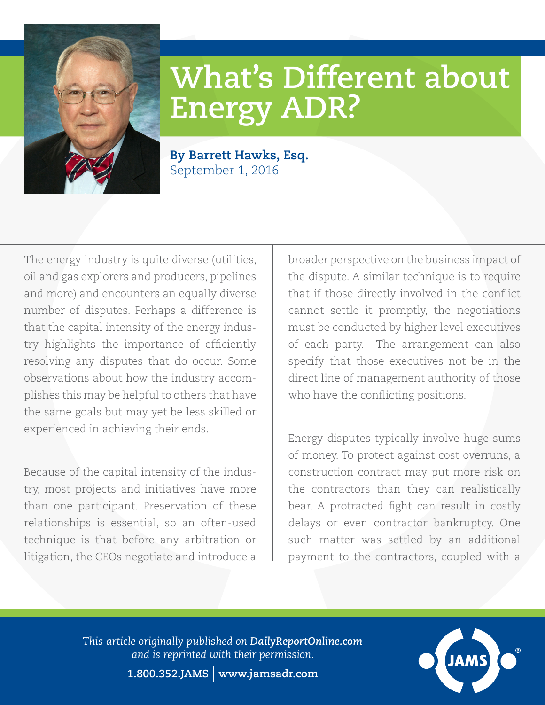

## **What's Different about Energy ADR?**

**By Barrett Hawks, Esq.** September 1, 2016

The energy industry is quite diverse (utilities, oil and gas explorers and producers, pipelines and more) and encounters an equally diverse number of disputes. Perhaps a difference is that the capital intensity of the energy industry highlights the importance of efficiently resolving any disputes that do occur. Some observations about how the industry accomplishes this may be helpful to others that have the same goals but may yet be less skilled or experienced in achieving their ends.

Because of the capital intensity of the industry, most projects and initiatives have more than one participant. Preservation of these relationships is essential, so an often-used technique is that before any arbitration or litigation, the CEOs negotiate and introduce a

broader perspective on the business impact of the dispute. A similar technique is to require that if those directly involved in the conflict cannot settle it promptly, the negotiations must be conducted by higher level executives of each party. The arrangement can also specify that those executives not be in the direct line of management authority of those who have the conflicting positions.

Energy disputes typically involve huge sums of money. To protect against cost overruns, a construction contract may put more risk on the contractors than they can realistically bear. A protracted fight can result in costly delays or even contractor bankruptcy. One such matter was settled by an additional payment to the contractors, coupled with a

*This article originally published on [DailyReportOnline.com](http://www.DailyReportOnline.com) and is reprinted with their permission.*



**1.800.352.JAMS** | **[www.jamsadr.com](http://InsideCounsel.com)**